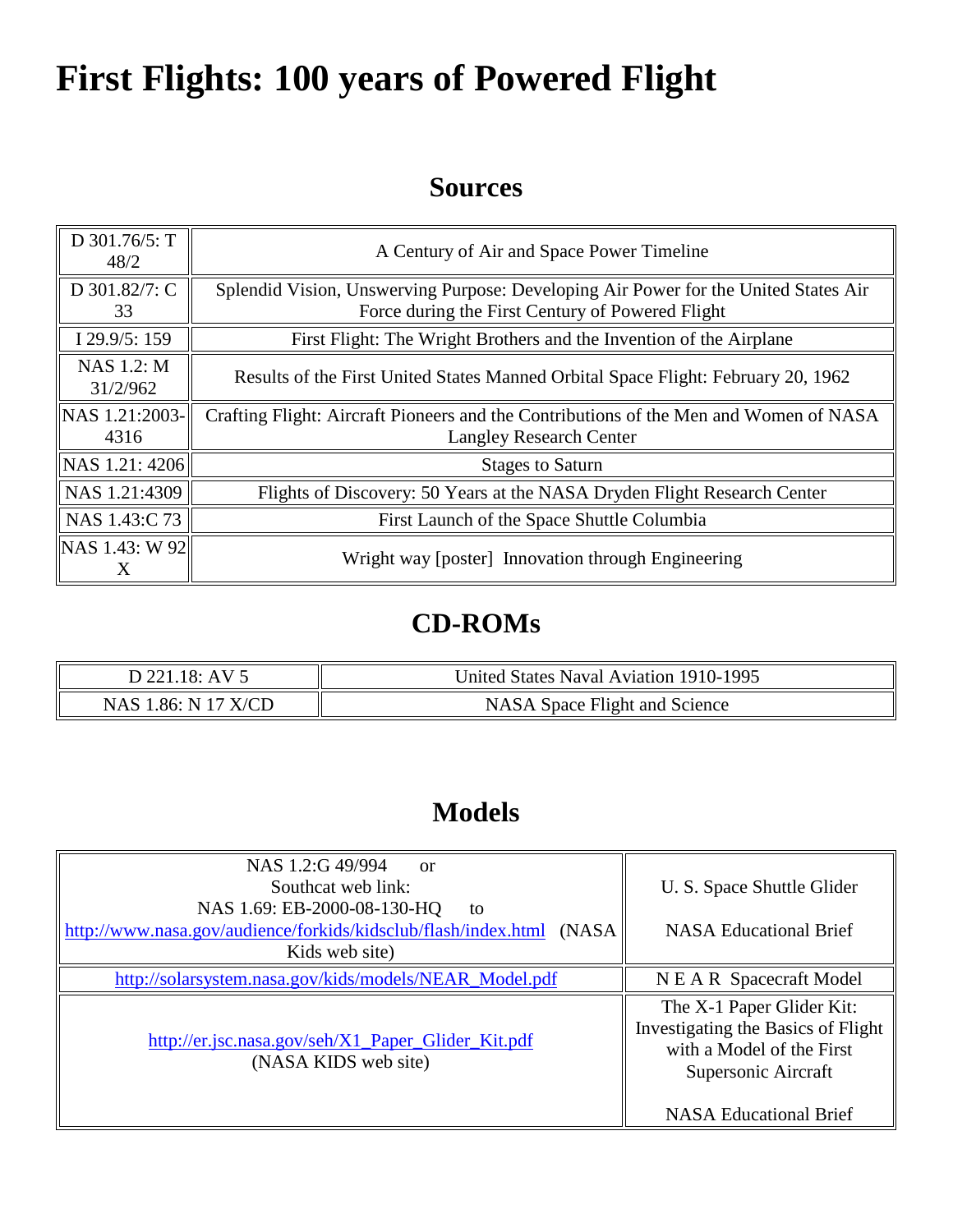# **First Flights: 100 years of Powered Flight**

#### **Sources**

| D 301.76/5: T<br>48/2         | A Century of Air and Space Power Timeline                                                                                               |  |
|-------------------------------|-----------------------------------------------------------------------------------------------------------------------------------------|--|
| D 301.82/7: C<br>33           | Splendid Vision, Unswerving Purpose: Developing Air Power for the United States Air<br>Force during the First Century of Powered Flight |  |
| I $29.9/5:159$                | First Flight: The Wright Brothers and the Invention of the Airplane                                                                     |  |
| <b>NAS 1.2: M</b><br>31/2/962 | Results of the First United States Manned Orbital Space Flight: February 20, 1962                                                       |  |
| NAS 1.21:2003-<br>4316        | Crafting Flight: Aircraft Pioneers and the Contributions of the Men and Women of NASA<br><b>Langley Research Center</b>                 |  |
| NAS 1.21: 4206                | <b>Stages to Saturn</b>                                                                                                                 |  |
| NAS 1.21:4309                 | Flights of Discovery: 50 Years at the NASA Dryden Flight Research Center                                                                |  |
| NAS 1.43:C 73                 | First Launch of the Space Shuttle Columbia                                                                                              |  |
| NAS 1.43: W 92<br>X           | Wright way [poster] Innovation through Engineering                                                                                      |  |

## **CD-ROMs**

| D 221.18: AV 5      | United States Naval Aviation 1910-1995 |
|---------------------|----------------------------------------|
| NAS 1.86: N 17 X/CD | NASA Space Flight and Science          |

## **Models**

| NAS 1.2:G 49/994<br><sub>or</sub><br>Southcat web link:                                                                         | U. S. Space Shuttle Glider                                                                                          |
|---------------------------------------------------------------------------------------------------------------------------------|---------------------------------------------------------------------------------------------------------------------|
| NAS 1.69: EB-2000-08-130-HQ<br>to<br>http://www.nasa.gov/audience/forkids/kidsclub/flash/index.html<br>(NASA)<br>Kids web site) | <b>NASA Educational Brief</b>                                                                                       |
| http://solarsystem.nasa.gov/kids/models/NEAR_Model.pdf                                                                          | N E A R Spacecraft Model                                                                                            |
| http://er.jsc.nasa.gov/seh/X1_Paper_Glider_Kit.pdf<br>(NASA KIDS web site)                                                      | The X-1 Paper Glider Kit:<br>Investigating the Basics of Flight<br>with a Model of the First<br>Supersonic Aircraft |
|                                                                                                                                 | <b>NASA Educational Brief</b>                                                                                       |